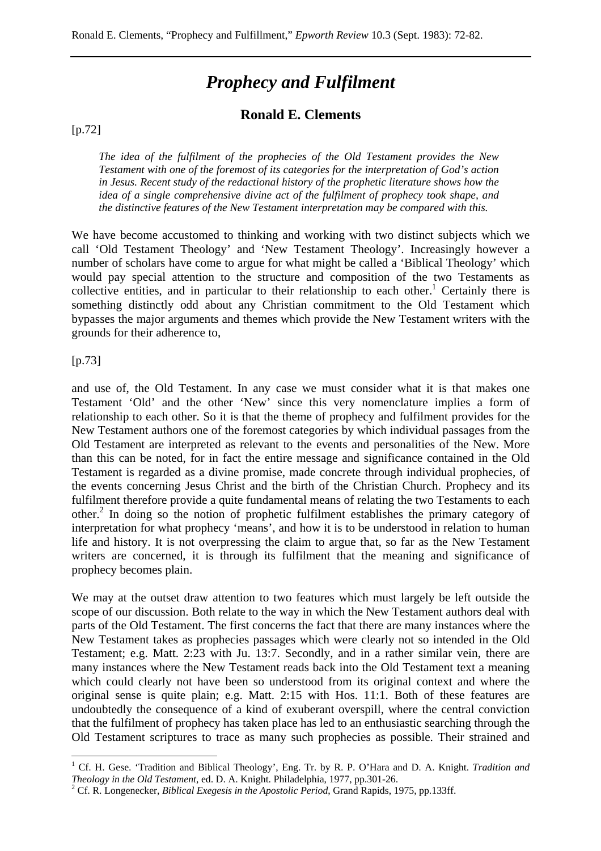# *Prophecy and Fulfilment*

# **Ronald E. Clements**

#### [p.72]

*The idea of the fulfilment of the prophecies of the Old Testament provides the New Testament with one of the foremost of its categories for the interpretation of God's action in Jesus. Recent study of the redactional history of the prophetic literature shows how the idea of a single comprehensive divine act of the fulfilment of prophecy took shape, and the distinctive features of the New Testament interpretation may be compared with this.* 

We have become accustomed to thinking and working with two distinct subjects which we call 'Old Testament Theology' and 'New Testament Theology'. Increasingly however a number of scholars have come to argue for what might be called a 'Biblical Theology' which would pay special attention to the structure and composition of the two Testaments as collective entities, and in particular to their relationship to each other.<sup>1</sup> Certainly there is something distinctly odd about any Christian commitment to the Old Testament which bypasses the major arguments and themes which provide the New Testament writers with the grounds for their adherence to,

[p.73]

 $\overline{a}$ 

and use of, the Old Testament. In any case we must consider what it is that makes one Testament 'Old' and the other 'New' since this very nomenclature implies a form of relationship to each other. So it is that the theme of prophecy and fulfilment provides for the New Testament authors one of the foremost categories by which individual passages from the Old Testament are interpreted as relevant to the events and personalities of the New. More than this can be noted, for in fact the entire message and significance contained in the Old Testament is regarded as a divine promise, made concrete through individual prophecies, of the events concerning Jesus Christ and the birth of the Christian Church. Prophecy and its fulfilment therefore provide a quite fundamental means of relating the two Testaments to each other.<sup>2</sup> In doing so the notion of prophetic fulfilment establishes the primary category of interpretation for what prophecy 'means', and how it is to be understood in relation to human life and history. It is not overpressing the claim to argue that, so far as the New Testament writers are concerned, it is through its fulfilment that the meaning and significance of prophecy becomes plain.

We may at the outset draw attention to two features which must largely be left outside the scope of our discussion. Both relate to the way in which the New Testament authors deal with parts of the Old Testament. The first concerns the fact that there are many instances where the New Testament takes as prophecies passages which were clearly not so intended in the Old Testament; e.g. Matt. 2:23 with Ju. 13:7. Secondly, and in a rather similar vein, there are many instances where the New Testament reads back into the Old Testament text a meaning which could clearly not have been so understood from its original context and where the original sense is quite plain; e.g. Matt. 2:15 with Hos. 11:1. Both of these features are undoubtedly the consequence of a kind of exuberant overspill, where the central conviction that the fulfilment of prophecy has taken place has led to an enthusiastic searching through the Old Testament scriptures to trace as many such prophecies as possible. Their strained and

<sup>&</sup>lt;sup>1</sup> Cf. H. Gese. 'Tradition and Biblical Theology', Eng. Tr. by R. P. O'Hara and D. A. Knight. *Tradition and Theology in the Old Testament*, ed. D. A. Knight. Philadelphia, 1977, pp.301-26. 2

<sup>&</sup>lt;sup>2</sup> Cf. R. Longenecker, *Biblical Exegesis in the Apostolic Period*, Grand Rapids, 1975, pp.133ff.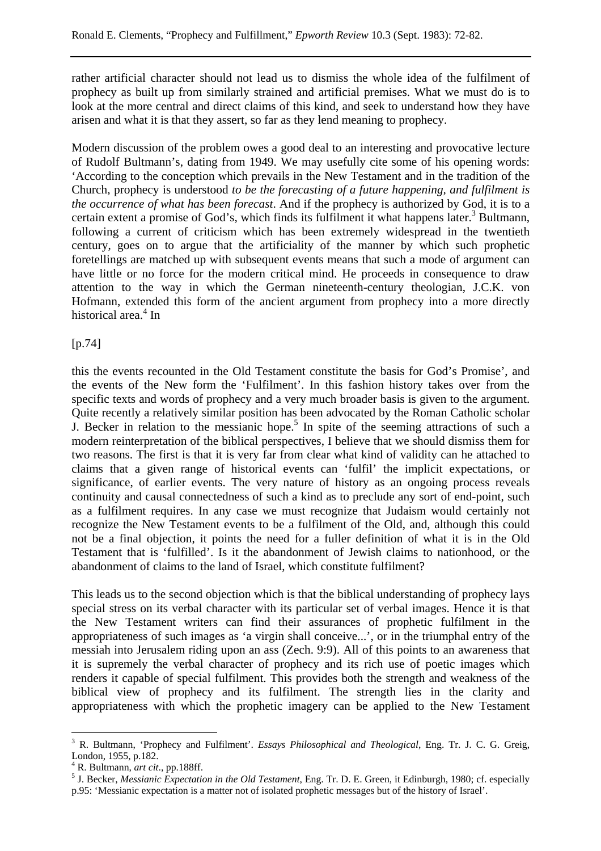rather artificial character should not lead us to dismiss the whole idea of the fulfilment of prophecy as built up from similarly strained and artificial premises. What we must do is to look at the more central and direct claims of this kind, and seek to understand how they have arisen and what it is that they assert, so far as they lend meaning to prophecy.

Modern discussion of the problem owes a good deal to an interesting and provocative lecture of Rudolf Bultmann's, dating from 1949. We may usefully cite some of his opening words: 'According to the conception which prevails in the New Testament and in the tradition of the Church, prophecy is understood *to be the forecasting of a future happening, and fulfilment is the occurrence of what has been forecast*. And if the prophecy is authorized by God, it is to a certain extent a promise of God's, which finds its fulfilment it what happens later.<sup>3</sup> Bultmann, following a current of criticism which has been extremely widespread in the twentieth century, goes on to argue that the artificiality of the manner by which such prophetic foretellings are matched up with subsequent events means that such a mode of argument can have little or no force for the modern critical mind. He proceeds in consequence to draw attention to the way in which the German nineteenth-century theologian, J.C.K. von Hofmann, extended this form of the ancient argument from prophecy into a more directly historical area.<sup>4</sup> In

#### [p.74]

this the events recounted in the Old Testament constitute the basis for God's Promise', and the events of the New form the 'Fulfilment'. In this fashion history takes over from the specific texts and words of prophecy and a very much broader basis is given to the argument. Quite recently a relatively similar position has been advocated by the Roman Catholic scholar J. Becker in relation to the messianic hope.<sup>5</sup> In spite of the seeming attractions of such a modern reinterpretation of the biblical perspectives, I believe that we should dismiss them for two reasons. The first is that it is very far from clear what kind of validity can he attached to claims that a given range of historical events can 'fulfil' the implicit expectations, or significance, of earlier events. The very nature of history as an ongoing process reveals continuity and causal connectedness of such a kind as to preclude any sort of end-point, such as a fulfilment requires. In any case we must recognize that Judaism would certainly not recognize the New Testament events to be a fulfilment of the Old, and, although this could not be a final objection, it points the need for a fuller definition of what it is in the Old Testament that is 'fulfilled'. Is it the abandonment of Jewish claims to nationhood, or the abandonment of claims to the land of Israel, which constitute fulfilment?

This leads us to the second objection which is that the biblical understanding of prophecy lays special stress on its verbal character with its particular set of verbal images. Hence it is that the New Testament writers can find their assurances of prophetic fulfilment in the appropriateness of such images as 'a virgin shall conceive...', or in the triumphal entry of the messiah into Jerusalem riding upon an ass (Zech. 9:9). All of this points to an awareness that it is supremely the verbal character of prophecy and its rich use of poetic images which renders it capable of special fulfilment. This provides both the strength and weakness of the biblical view of prophecy and its fulfilment. The strength lies in the clarity and appropriateness with which the prophetic imagery can be applied to the New Testament

 $\overline{a}$ 

<sup>3</sup> R. Bultmann, 'Prophecy and Fulfilment'. *Essays Philosophical and Theological*, Eng. Tr. J. C. G. Greig, London, 1955, p.182.

 $^{4}$  R. Bultmann, *art cit.*, pp.188ff.

<sup>&</sup>lt;sup>5</sup> J. Becker, *Messianic Expectation in the Old Testament*, Eng. Tr. D. E. Green, it Edinburgh, 1980; cf. especially p.95: 'Messianic expectation is a matter not of isolated prophetic messages but of the history of Israel'.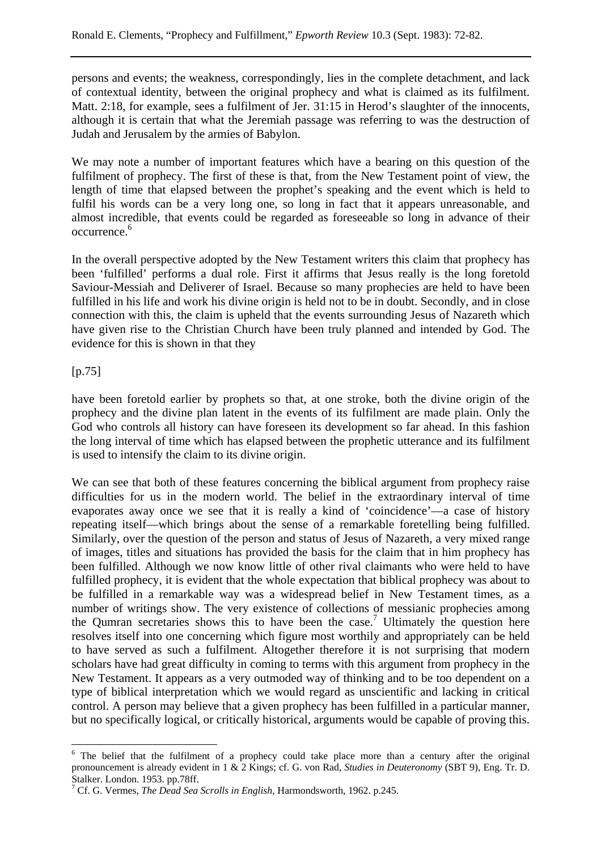persons and events; the weakness, correspondingly, lies in the complete detachment, and lack of contextual identity, between the original prophecy and what is claimed as its fulfilment. Matt. 2:18, for example, sees a fulfilment of Jer. 31:15 in Herod's slaughter of the innocents, although it is certain that what the Jeremiah passage was referring to was the destruction of Judah and Jerusalem by the armies of Babylon.

We may note a number of important features which have a bearing on this question of the fulfilment of prophecy. The first of these is that, from the New Testament point of view, the length of time that elapsed between the prophet's speaking and the event which is held to fulfil his words can be a very long one, so long in fact that it appears unreasonable, and almost incredible, that events could be regarded as foreseeable so long in advance of their occurrence.6

In the overall perspective adopted by the New Testament writers this claim that prophecy has been 'fulfilled' performs a dual role. First it affirms that Jesus really is the long foretold Saviour-Messiah and Deliverer of Israel. Because so many prophecies are held to have been fulfilled in his life and work his divine origin is held not to be in doubt. Secondly, and in close connection with this, the claim is upheld that the events surrounding Jesus of Nazareth which have given rise to the Christian Church have been truly planned and intended by God. The evidence for this is shown in that they

#### [p.75]

have been foretold earlier by prophets so that, at one stroke, both the divine origin of the prophecy and the divine plan latent in the events of its fulfilment are made plain. Only the God who controls all history can have foreseen its development so far ahead. In this fashion the long interval of time which has elapsed between the prophetic utterance and its fulfilment is used to intensify the claim to its divine origin.

We can see that both of these features concerning the biblical argument from prophecy raise difficulties for us in the modern world. The belief in the extraordinary interval of time evaporates away once we see that it is really a kind of 'coincidence'—a case of history repeating itself—which brings about the sense of a remarkable foretelling being fulfilled. Similarly, over the question of the person and status of Jesus of Nazareth, a very mixed range of images, titles and situations has provided the basis for the claim that in him prophecy has been fulfilled. Although we now know little of other rival claimants who were held to have fulfilled prophecy, it is evident that the whole expectation that biblical prophecy was about to be fulfilled in a remarkable way was a widespread belief in New Testament times, as a number of writings show. The very existence of collections of messianic prophecies among the Qumran secretaries shows this to have been the case.<sup>7</sup> Ultimately the question here resolves itself into one concerning which figure most worthily and appropriately can be held to have served as such a fulfilment. Altogether therefore it is not surprising that modern scholars have had great difficulty in coming to terms with this argument from prophecy in the New Testament. It appears as a very outmoded way of thinking and to be too dependent on a type of biblical interpretation which we would regard as unscientific and lacking in critical control. A person may believe that a given prophecy has been fulfilled in a particular manner, but no specifically logical, or critically historical, arguments would be capable of proving this.

 $\overline{a}$ <sup>6</sup> The belief that the fulfilment of a prophecy could take place more than a century after the original pronouncement is already evident in 1 & 2 Kings; cf. G. von Rad, *Studies in Deuteronomy* (SBT 9), Eng. Tr. D. Stalker. London. 1953. pp.78ff.

<sup>7</sup> Cf. G. Vermes, *The Dead Sea Scrolls in English*, Harmondsworth, 1962. p.245.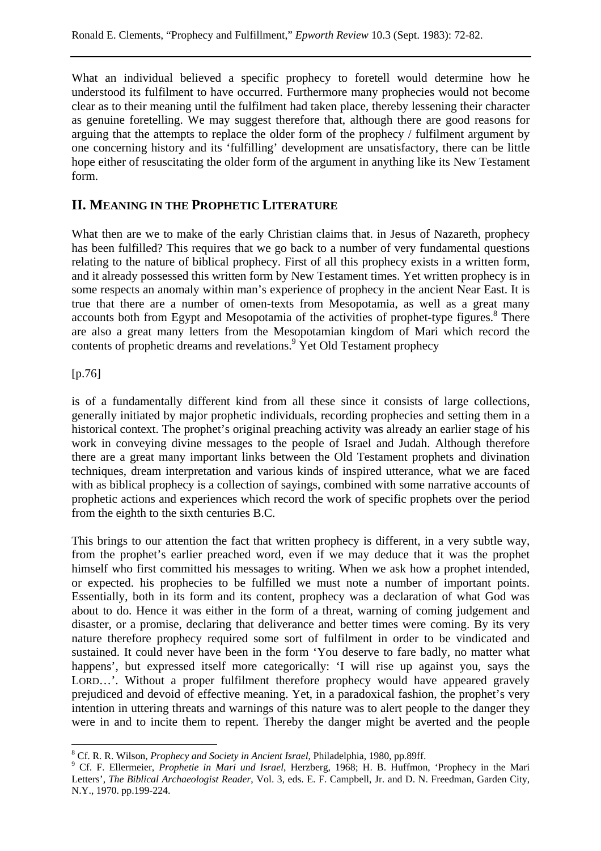What an individual believed a specific prophecy to foretell would determine how he understood its fulfilment to have occurred. Furthermore many prophecies would not become clear as to their meaning until the fulfilment had taken place, thereby lessening their character as genuine foretelling. We may suggest therefore that, although there are good reasons for arguing that the attempts to replace the older form of the prophecy / fulfilment argument by one concerning history and its 'fulfilling' development are unsatisfactory, there can be little hope either of resuscitating the older form of the argument in anything like its New Testament form.

# **II. MEANING IN THE PROPHETIC LITERATURE**

What then are we to make of the early Christian claims that. in Jesus of Nazareth, prophecy has been fulfilled? This requires that we go back to a number of very fundamental questions relating to the nature of biblical prophecy. First of all this prophecy exists in a written form, and it already possessed this written form by New Testament times. Yet written prophecy is in some respects an anomaly within man's experience of prophecy in the ancient Near East. It is true that there are a number of omen-texts from Mesopotamia, as well as a great many accounts both from Egypt and Mesopotamia of the activities of prophet-type figures.<sup>8</sup> There are also a great many letters from the Mesopotamian kingdom of Mari which record the contents of prophetic dreams and revelations.<sup>9</sup> Yet Old Testament prophecy

### [p.76]

is of a fundamentally different kind from all these since it consists of large collections, generally initiated by major prophetic individuals, recording prophecies and setting them in a historical context. The prophet's original preaching activity was already an earlier stage of his work in conveying divine messages to the people of Israel and Judah. Although therefore there are a great many important links between the Old Testament prophets and divination techniques, dream interpretation and various kinds of inspired utterance, what we are faced with as biblical prophecy is a collection of sayings, combined with some narrative accounts of prophetic actions and experiences which record the work of specific prophets over the period from the eighth to the sixth centuries B.C.

This brings to our attention the fact that written prophecy is different, in a very subtle way, from the prophet's earlier preached word, even if we may deduce that it was the prophet himself who first committed his messages to writing. When we ask how a prophet intended, or expected. his prophecies to be fulfilled we must note a number of important points. Essentially, both in its form and its content, prophecy was a declaration of what God was about to do. Hence it was either in the form of a threat, warning of coming judgement and disaster, or a promise, declaring that deliverance and better times were coming. By its very nature therefore prophecy required some sort of fulfilment in order to be vindicated and sustained. It could never have been in the form 'You deserve to fare badly, no matter what happens', but expressed itself more categorically: 'I will rise up against you, says the LORD...'. Without a proper fulfilment therefore prophecy would have appeared gravely prejudiced and devoid of effective meaning. Yet, in a paradoxical fashion, the prophet's very intention in uttering threats and warnings of this nature was to alert people to the danger they were in and to incite them to repent. Thereby the danger might be averted and the people

 $\overline{a}$ <sup>8</sup> Cf. R. R. Wilson, *Prophecy and Society in Ancient Israel*, Philadelphia, 1980, pp.89ff.<br><sup>9</sup> Cf. E. Ellermoiar, *Prophetic in Mari und Israel*, Harrborg, 1968; H. B. Huffman

Cf. F. Ellermeier, *Prophetie in Mari und Israel*, Herzberg, 1968; H. B. Huffmon, 'Prophecy in the Mari Letters', *The Biblical Archaeologist Reader*, Vol. 3, eds. E. F. Campbell, Jr. and D. N. Freedman, Garden City, N.Y., 1970. pp.199-224.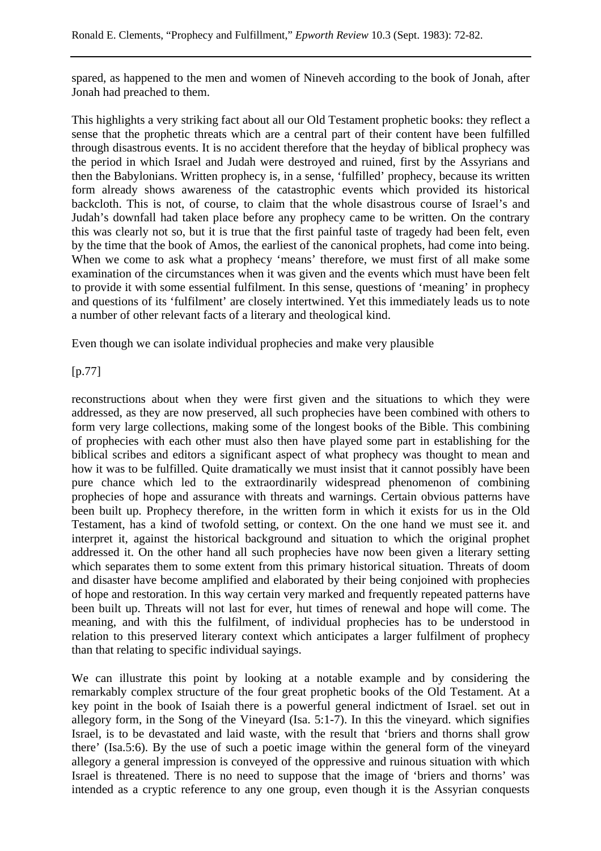spared, as happened to the men and women of Nineveh according to the book of Jonah, after Jonah had preached to them.

This highlights a very striking fact about all our Old Testament prophetic books: they reflect a sense that the prophetic threats which are a central part of their content have been fulfilled through disastrous events. It is no accident therefore that the heyday of biblical prophecy was the period in which Israel and Judah were destroyed and ruined, first by the Assyrians and then the Babylonians. Written prophecy is, in a sense, 'fulfilled' prophecy, because its written form already shows awareness of the catastrophic events which provided its historical backcloth. This is not, of course, to claim that the whole disastrous course of Israel's and Judah's downfall had taken place before any prophecy came to be written. On the contrary this was clearly not so, but it is true that the first painful taste of tragedy had been felt, even by the time that the book of Amos, the earliest of the canonical prophets, had come into being. When we come to ask what a prophecy 'means' therefore, we must first of all make some examination of the circumstances when it was given and the events which must have been felt to provide it with some essential fulfilment. In this sense, questions of 'meaning' in prophecy and questions of its 'fulfilment' are closely intertwined. Yet this immediately leads us to note a number of other relevant facts of a literary and theological kind.

Even though we can isolate individual prophecies and make very plausible

[p.77]

reconstructions about when they were first given and the situations to which they were addressed, as they are now preserved, all such prophecies have been combined with others to form very large collections, making some of the longest books of the Bible. This combining of prophecies with each other must also then have played some part in establishing for the biblical scribes and editors a significant aspect of what prophecy was thought to mean and how it was to be fulfilled. Quite dramatically we must insist that it cannot possibly have been pure chance which led to the extraordinarily widespread phenomenon of combining prophecies of hope and assurance with threats and warnings. Certain obvious patterns have been built up. Prophecy therefore, in the written form in which it exists for us in the Old Testament, has a kind of twofold setting, or context. On the one hand we must see it. and interpret it, against the historical background and situation to which the original prophet addressed it. On the other hand all such prophecies have now been given a literary setting which separates them to some extent from this primary historical situation. Threats of doom and disaster have become amplified and elaborated by their being conjoined with prophecies of hope and restoration. In this way certain very marked and frequently repeated patterns have been built up. Threats will not last for ever, hut times of renewal and hope will come. The meaning, and with this the fulfilment, of individual prophecies has to be understood in relation to this preserved literary context which anticipates a larger fulfilment of prophecy than that relating to specific individual sayings.

We can illustrate this point by looking at a notable example and by considering the remarkably complex structure of the four great prophetic books of the Old Testament. At a key point in the book of Isaiah there is a powerful general indictment of Israel. set out in allegory form, in the Song of the Vineyard (Isa. 5:1-7). In this the vineyard. which signifies Israel, is to be devastated and laid waste, with the result that 'briers and thorns shall grow there' (Isa.5:6). By the use of such a poetic image within the general form of the vineyard allegory a general impression is conveyed of the oppressive and ruinous situation with which Israel is threatened. There is no need to suppose that the image of 'briers and thorns' was intended as a cryptic reference to any one group, even though it is the Assyrian conquests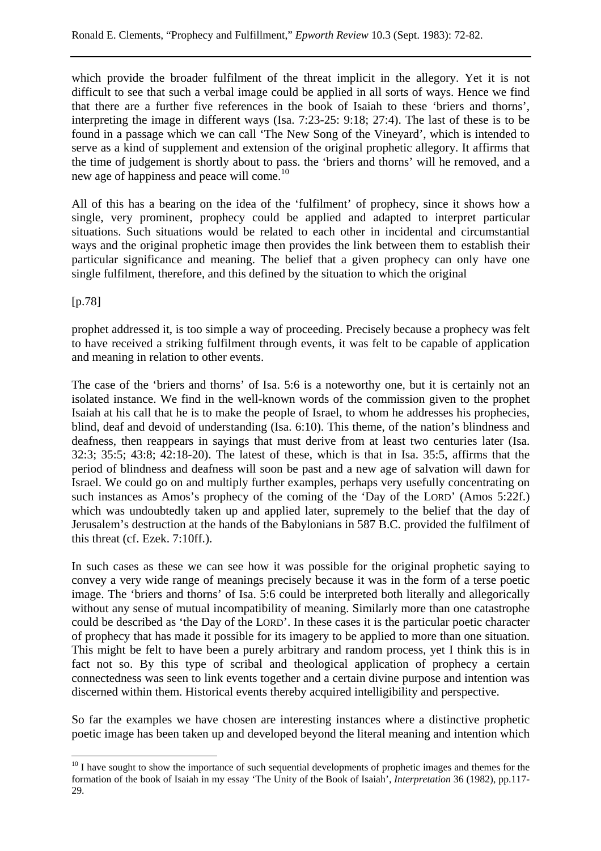which provide the broader fulfilment of the threat implicit in the allegory. Yet it is not difficult to see that such a verbal image could be applied in all sorts of ways. Hence we find that there are a further five references in the book of Isaiah to these 'briers and thorns', interpreting the image in different ways (Isa. 7:23-25: 9:18; 27:4). The last of these is to be found in a passage which we can call 'The New Song of the Vineyard', which is intended to serve as a kind of supplement and extension of the original prophetic allegory. It affirms that the time of judgement is shortly about to pass. the 'briers and thorns' will he removed, and a new age of happiness and peace will come.<sup>10</sup>

All of this has a bearing on the idea of the 'fulfilment' of prophecy, since it shows how a single, very prominent, prophecy could be applied and adapted to interpret particular situations. Such situations would be related to each other in incidental and circumstantial ways and the original prophetic image then provides the link between them to establish their particular significance and meaning. The belief that a given prophecy can only have one single fulfilment, therefore, and this defined by the situation to which the original

[p.78]

prophet addressed it, is too simple a way of proceeding. Precisely because a prophecy was felt to have received a striking fulfilment through events, it was felt to be capable of application and meaning in relation to other events.

The case of the 'briers and thorns' of Isa. 5:6 is a noteworthy one, but it is certainly not an isolated instance. We find in the well-known words of the commission given to the prophet Isaiah at his call that he is to make the people of Israel, to whom he addresses his prophecies, blind, deaf and devoid of understanding (Isa. 6:10). This theme, of the nation's blindness and deafness, then reappears in sayings that must derive from at least two centuries later (Isa. 32:3; 35:5; 43:8; 42:18-20). The latest of these, which is that in Isa. 35:5, affirms that the period of blindness and deafness will soon be past and a new age of salvation will dawn for Israel. We could go on and multiply further examples, perhaps very usefully concentrating on such instances as Amos's prophecy of the coming of the 'Day of the LORD' (Amos 5:22f.) which was undoubtedly taken up and applied later, supremely to the belief that the day of Jerusalem's destruction at the hands of the Babylonians in 587 B.C. provided the fulfilment of this threat (cf. Ezek. 7:10ff.).

In such cases as these we can see how it was possible for the original prophetic saying to convey a very wide range of meanings precisely because it was in the form of a terse poetic image. The 'briers and thorns' of Isa. 5:6 could be interpreted both literally and allegorically without any sense of mutual incompatibility of meaning. Similarly more than one catastrophe could be described as 'the Day of the LORD'. In these cases it is the particular poetic character of prophecy that has made it possible for its imagery to be applied to more than one situation. This might be felt to have been a purely arbitrary and random process, yet I think this is in fact not so. By this type of scribal and theological application of prophecy a certain connectedness was seen to link events together and a certain divine purpose and intention was discerned within them. Historical events thereby acquired intelligibility and perspective.

So far the examples we have chosen are interesting instances where a distinctive prophetic poetic image has been taken up and developed beyond the literal meaning and intention which

 $\overline{a}$ <sup>10</sup> I have sought to show the importance of such sequential developments of prophetic images and themes for the formation of the book of Isaiah in my essay 'The Unity of the Book of Isaiah', *Interpretation* 36 (1982), pp.117- 29.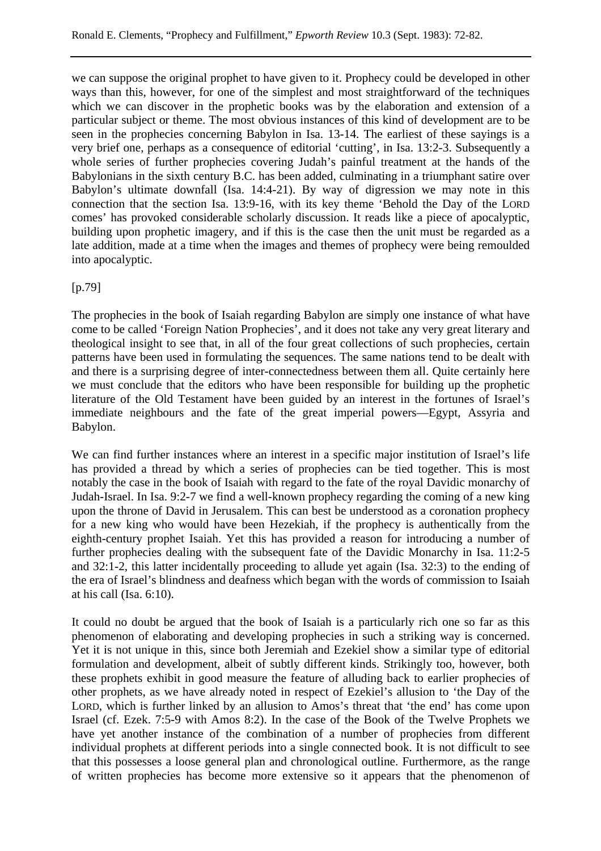we can suppose the original prophet to have given to it. Prophecy could be developed in other ways than this, however, for one of the simplest and most straightforward of the techniques which we can discover in the prophetic books was by the elaboration and extension of a particular subject or theme. The most obvious instances of this kind of development are to be seen in the prophecies concerning Babylon in Isa. 13-14. The earliest of these sayings is a very brief one, perhaps as a consequence of editorial 'cutting', in Isa. 13:2-3. Subsequently a whole series of further prophecies covering Judah's painful treatment at the hands of the Babylonians in the sixth century B.C. has been added, culminating in a triumphant satire over Babylon's ultimate downfall (Isa. 14:4-21). By way of digression we may note in this connection that the section Isa. 13:9-16, with its key theme 'Behold the Day of the LORD comes' has provoked considerable scholarly discussion. It reads like a piece of apocalyptic, building upon prophetic imagery, and if this is the case then the unit must be regarded as a late addition, made at a time when the images and themes of prophecy were being remoulded into apocalyptic.

[p.79]

The prophecies in the book of Isaiah regarding Babylon are simply one instance of what have come to be called 'Foreign Nation Prophecies', and it does not take any very great literary and theological insight to see that, in all of the four great collections of such prophecies, certain patterns have been used in formulating the sequences. The same nations tend to be dealt with and there is a surprising degree of inter-connectedness between them all. Quite certainly here we must conclude that the editors who have been responsible for building up the prophetic literature of the Old Testament have been guided by an interest in the fortunes of Israel's immediate neighbours and the fate of the great imperial powers—Egypt, Assyria and Babylon.

We can find further instances where an interest in a specific major institution of Israel's life has provided a thread by which a series of prophecies can be tied together. This is most notably the case in the book of Isaiah with regard to the fate of the royal Davidic monarchy of Judah-Israel. In Isa. 9:2-7 we find a well-known prophecy regarding the coming of a new king upon the throne of David in Jerusalem. This can best be understood as a coronation prophecy for a new king who would have been Hezekiah, if the prophecy is authentically from the eighth-century prophet Isaiah. Yet this has provided a reason for introducing a number of further prophecies dealing with the subsequent fate of the Davidic Monarchy in Isa. 11:2-5 and 32:1-2, this latter incidentally proceeding to allude yet again (Isa. 32:3) to the ending of the era of Israel's blindness and deafness which began with the words of commission to Isaiah at his call (Isa. 6:10).

It could no doubt be argued that the book of Isaiah is a particularly rich one so far as this phenomenon of elaborating and developing prophecies in such a striking way is concerned. Yet it is not unique in this, since both Jeremiah and Ezekiel show a similar type of editorial formulation and development, albeit of subtly different kinds. Strikingly too, however, both these prophets exhibit in good measure the feature of alluding back to earlier prophecies of other prophets, as we have already noted in respect of Ezekiel's allusion to 'the Day of the LORD, which is further linked by an allusion to Amos's threat that 'the end' has come upon Israel (cf. Ezek. 7:5-9 with Amos 8:2). In the case of the Book of the Twelve Prophets we have yet another instance of the combination of a number of prophecies from different individual prophets at different periods into a single connected book. It is not difficult to see that this possesses a loose general plan and chronological outline. Furthermore, as the range of written prophecies has become more extensive so it appears that the phenomenon of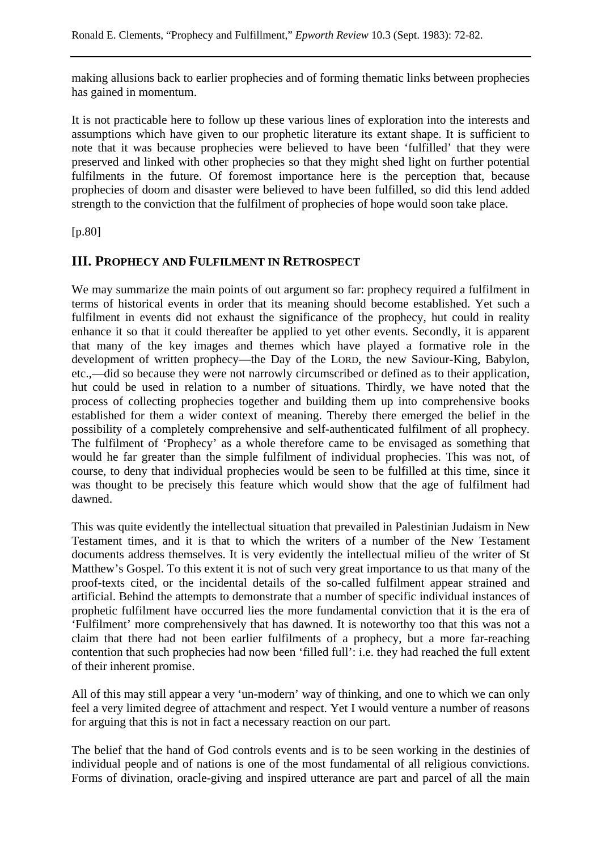making allusions back to earlier prophecies and of forming thematic links between prophecies has gained in momentum.

It is not practicable here to follow up these various lines of exploration into the interests and assumptions which have given to our prophetic literature its extant shape. It is sufficient to note that it was because prophecies were believed to have been 'fulfilled' that they were preserved and linked with other prophecies so that they might shed light on further potential fulfilments in the future. Of foremost importance here is the perception that, because prophecies of doom and disaster were believed to have been fulfilled, so did this lend added strength to the conviction that the fulfilment of prophecies of hope would soon take place.

[p.80]

## **III. PROPHECY AND FULFILMENT IN RETROSPECT**

We may summarize the main points of out argument so far: prophecy required a fulfilment in terms of historical events in order that its meaning should become established. Yet such a fulfilment in events did not exhaust the significance of the prophecy, hut could in reality enhance it so that it could thereafter be applied to yet other events. Secondly, it is apparent that many of the key images and themes which have played a formative role in the development of written prophecy—the Day of the LORD, the new Saviour-King, Babylon, etc.,—did so because they were not narrowly circumscribed or defined as to their application, hut could be used in relation to a number of situations. Thirdly, we have noted that the process of collecting prophecies together and building them up into comprehensive books established for them a wider context of meaning. Thereby there emerged the belief in the possibility of a completely comprehensive and self-authenticated fulfilment of all prophecy. The fulfilment of 'Prophecy' as a whole therefore came to be envisaged as something that would he far greater than the simple fulfilment of individual prophecies. This was not, of course, to deny that individual prophecies would be seen to be fulfilled at this time, since it was thought to be precisely this feature which would show that the age of fulfilment had dawned.

This was quite evidently the intellectual situation that prevailed in Palestinian Judaism in New Testament times, and it is that to which the writers of a number of the New Testament documents address themselves. It is very evidently the intellectual milieu of the writer of St Matthew's Gospel. To this extent it is not of such very great importance to us that many of the proof-texts cited, or the incidental details of the so-called fulfilment appear strained and artificial. Behind the attempts to demonstrate that a number of specific individual instances of prophetic fulfilment have occurred lies the more fundamental conviction that it is the era of 'Fulfilment' more comprehensively that has dawned. It is noteworthy too that this was not a claim that there had not been earlier fulfilments of a prophecy, but a more far-reaching contention that such prophecies had now been 'filled full': i.e. they had reached the full extent of their inherent promise.

All of this may still appear a very 'un-modern' way of thinking, and one to which we can only feel a very limited degree of attachment and respect. Yet I would venture a number of reasons for arguing that this is not in fact a necessary reaction on our part.

The belief that the hand of God controls events and is to be seen working in the destinies of individual people and of nations is one of the most fundamental of all religious convictions. Forms of divination, oracle-giving and inspired utterance are part and parcel of all the main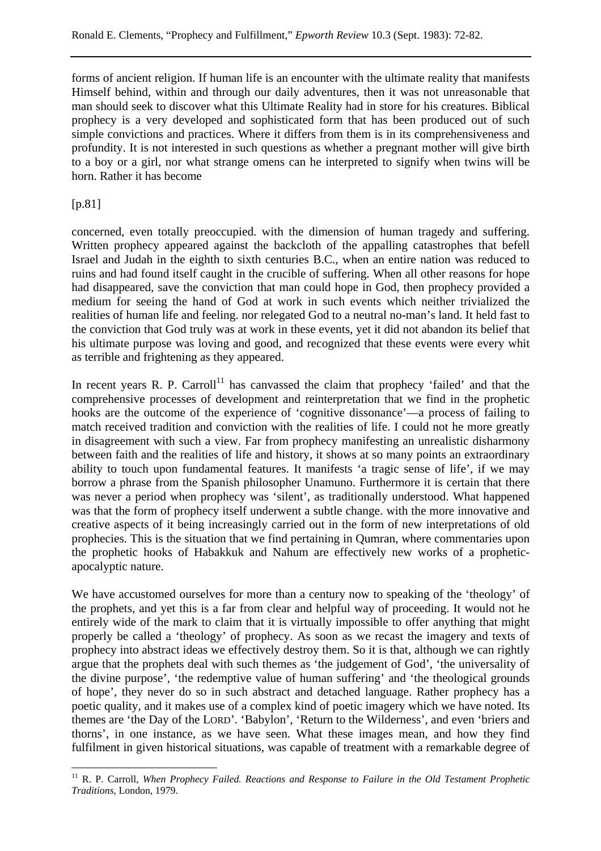forms of ancient religion. If human life is an encounter with the ultimate reality that manifests Himself behind, within and through our daily adventures, then it was not unreasonable that man should seek to discover what this Ultimate Reality had in store for his creatures. Biblical prophecy is a very developed and sophisticated form that has been produced out of such simple convictions and practices. Where it differs from them is in its comprehensiveness and profundity. It is not interested in such questions as whether a pregnant mother will give birth to a boy or a girl, nor what strange omens can he interpreted to signify when twins will be horn. Rather it has become

[p.81]

concerned, even totally preoccupied. with the dimension of human tragedy and suffering. Written prophecy appeared against the backcloth of the appalling catastrophes that befell Israel and Judah in the eighth to sixth centuries B.C., when an entire nation was reduced to ruins and had found itself caught in the crucible of suffering. When all other reasons for hope had disappeared, save the conviction that man could hope in God, then prophecy provided a medium for seeing the hand of God at work in such events which neither trivialized the realities of human life and feeling. nor relegated God to a neutral no-man's land. It held fast to the conviction that God truly was at work in these events, yet it did not abandon its belief that his ultimate purpose was loving and good, and recognized that these events were every whit as terrible and frightening as they appeared.

In recent years R. P. Carroll<sup>11</sup> has canvassed the claim that prophecy 'failed' and that the comprehensive processes of development and reinterpretation that we find in the prophetic hooks are the outcome of the experience of 'cognitive dissonance'—a process of failing to match received tradition and conviction with the realities of life. I could not he more greatly in disagreement with such a view. Far from prophecy manifesting an unrealistic disharmony between faith and the realities of life and history, it shows at so many points an extraordinary ability to touch upon fundamental features. It manifests 'a tragic sense of life', if we may borrow a phrase from the Spanish philosopher Unamuno. Furthermore it is certain that there was never a period when prophecy was 'silent', as traditionally understood. What happened was that the form of prophecy itself underwent a subtle change. with the more innovative and creative aspects of it being increasingly carried out in the form of new interpretations of old prophecies. This is the situation that we find pertaining in Qumran, where commentaries upon the prophetic hooks of Habakkuk and Nahum are effectively new works of a propheticapocalyptic nature.

We have accustomed ourselves for more than a century now to speaking of the 'theology' of the prophets, and yet this is a far from clear and helpful way of proceeding. It would not he entirely wide of the mark to claim that it is virtually impossible to offer anything that might properly be called a 'theology' of prophecy. As soon as we recast the imagery and texts of prophecy into abstract ideas we effectively destroy them. So it is that, although we can rightly argue that the prophets deal with such themes as 'the judgement of God', 'the universality of the divine purpose', 'the redemptive value of human suffering' and 'the theological grounds of hope', they never do so in such abstract and detached language. Rather prophecy has a poetic quality, and it makes use of a complex kind of poetic imagery which we have noted. Its themes are 'the Day of the LORD'. 'Babylon', 'Return to the Wilderness', and even 'briers and thorns', in one instance, as we have seen. What these images mean, and how they find fulfilment in given historical situations, was capable of treatment with a remarkable degree of

 $\overline{a}$ <sup>11</sup> R. P. Carroll, *When Prophecy Failed. Reactions and Response to Failure in the Old Testament Prophetic Traditions*, London, 1979.